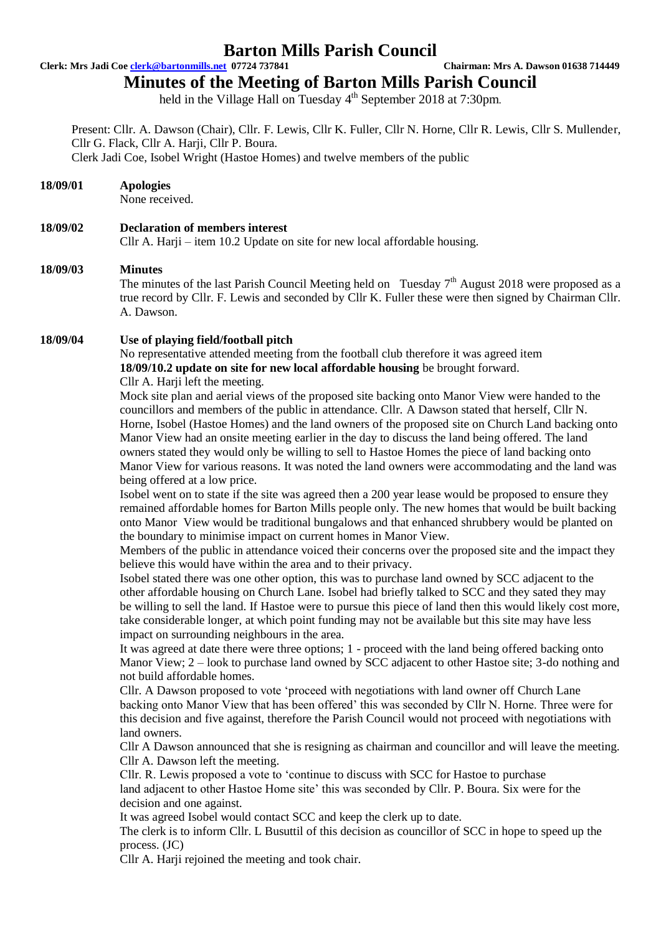**Clerk: Mrs Jadi Coe clerk@bartonmills.net 07724 737841 Chairman: Mrs A. Dawson 01638 714449**

# **Minutes of the Meeting of Barton Mills Parish Council**

held in the Village Hall on Tuesday 4<sup>th</sup> September 2018 at 7:30pm.

Present: Cllr. A. Dawson (Chair), Cllr. F. Lewis, Cllr K. Fuller, Cllr N. Horne, Cllr R. Lewis, Cllr S. Mullender, Cllr G. Flack, Cllr A. Harji, Cllr P. Boura. Clerk Jadi Coe, Isobel Wright (Hastoe Homes) and twelve members of the public

# **18/09/01 Apologies**

None received.

# **18/09/02 Declaration of members interest**

Cllr A. Harji – item 10.2 Update on site for new local affordable housing.

### **18/09/03 Minutes**

The minutes of the last Parish Council Meeting held on Tuesday  $7<sup>th</sup>$  August 2018 were proposed as a true record by Cllr. F. Lewis and seconded by Cllr K. Fuller these were then signed by Chairman Cllr. A. Dawson.

# **18/09/04 Use of playing field/football pitch**

No representative attended meeting from the football club therefore it was agreed item **18/09/10.2 update on site for new local affordable housing** be brought forward. Cllr A. Harji left the meeting.

Mock site plan and aerial views of the proposed site backing onto Manor View were handed to the councillors and members of the public in attendance. Cllr. A Dawson stated that herself, Cllr N. Horne, Isobel (Hastoe Homes) and the land owners of the proposed site on Church Land backing onto Manor View had an onsite meeting earlier in the day to discuss the land being offered. The land owners stated they would only be willing to sell to Hastoe Homes the piece of land backing onto Manor View for various reasons. It was noted the land owners were accommodating and the land was being offered at a low price.

Isobel went on to state if the site was agreed then a 200 year lease would be proposed to ensure they remained affordable homes for Barton Mills people only. The new homes that would be built backing onto Manor View would be traditional bungalows and that enhanced shrubbery would be planted on the boundary to minimise impact on current homes in Manor View.

Members of the public in attendance voiced their concerns over the proposed site and the impact they believe this would have within the area and to their privacy.

Isobel stated there was one other option, this was to purchase land owned by SCC adjacent to the other affordable housing on Church Lane. Isobel had briefly talked to SCC and they sated they may be willing to sell the land. If Hastoe were to pursue this piece of land then this would likely cost more, take considerable longer, at which point funding may not be available but this site may have less impact on surrounding neighbours in the area.

It was agreed at date there were three options; 1 - proceed with the land being offered backing onto Manor View; 2 – look to purchase land owned by SCC adjacent to other Hastoe site; 3-do nothing and not build affordable homes.

Cllr. A Dawson proposed to vote 'proceed with negotiations with land owner off Church Lane backing onto Manor View that has been offered' this was seconded by Cllr N. Horne. Three were for this decision and five against, therefore the Parish Council would not proceed with negotiations with land owners.

Cllr A Dawson announced that she is resigning as chairman and councillor and will leave the meeting. Cllr A. Dawson left the meeting.

Cllr. R. Lewis proposed a vote to 'continue to discuss with SCC for Hastoe to purchase land adjacent to other Hastoe Home site' this was seconded by Cllr. P. Boura. Six were for the decision and one against.

It was agreed Isobel would contact SCC and keep the clerk up to date.

The clerk is to inform Cllr. L Busuttil of this decision as councillor of SCC in hope to speed up the process. (JC)

Cllr A. Harji rejoined the meeting and took chair.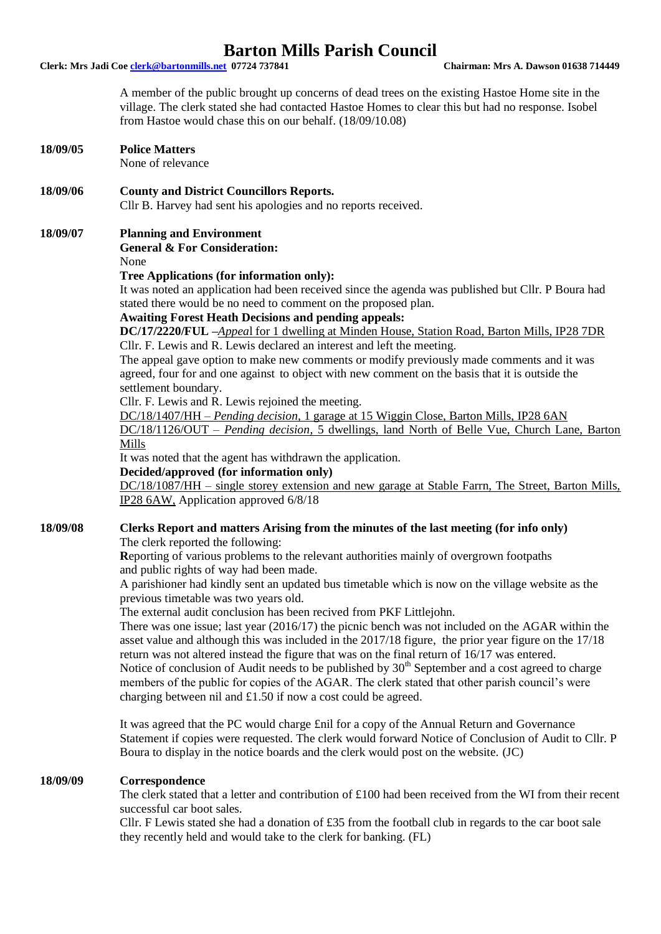**Clerk: Mrs Jadi Coe clerk@bartonmills.net 07724 737841 Chairman: Mrs A. Dawson 01638 714449**

A member of the public brought up concerns of dead trees on the existing Hastoe Home site in the village. The clerk stated she had contacted Hastoe Homes to clear this but had no response. Isobel from Hastoe would chase this on our behalf. (18/09/10.08)

**18/09/05 Police Matters** 

None of relevance

**18/09/06 County and District Councillors Reports.**

Cllr B. Harvey had sent his apologies and no reports received.

#### **18/09/07 Planning and Environment**

**General & For Consideration:**

None

#### **Tree Applications (for information only):**

It was noted an application had been received since the agenda was published but Cllr. P Boura had stated there would be no need to comment on the proposed plan.

#### **Awaiting Forest Heath Decisions and pending appeals:**

**DC/17/2220/FUL –***Appea*l for 1 dwelling at Minden House, Station Road, Barton Mills, IP28 7DR Cllr. F. Lewis and R. Lewis declared an interest and left the meeting.

The appeal gave option to make new comments or modify previously made comments and it was agreed, four for and one against to object with new comment on the basis that it is outside the settlement boundary.

Cllr. F. Lewis and R. Lewis rejoined the meeting.

DC/18/1407/HH – *Pending decision,* 1 garage at 15 Wiggin Close, Barton Mills, IP28 6AN

DC/18/1126/OUT – *Pending decision*, 5 dwellings, land North of Belle Vue, Church Lane, Barton Mills

It was noted that the agent has withdrawn the application.

#### **Decided/approved (for information only)**

DC/18/1087/HH – single storey extension and new garage at Stable Farrn, The Street, Barton Mills, IP28 6AW, Application approved 6/8/18

## **18/09/08 Clerks Report and matters Arising from the minutes of the last meeting (for info only)**

The clerk reported the following:

**R**eporting of various problems to the relevant authorities mainly of overgrown footpaths and public rights of way had been made.

A parishioner had kindly sent an updated bus timetable which is now on the village website as the previous timetable was two years old.

The external audit conclusion has been recived from PKF Littlejohn.

There was one issue; last year (2016/17) the picnic bench was not included on the AGAR within the asset value and although this was included in the 2017/18 figure, the prior year figure on the 17/18 return was not altered instead the figure that was on the final return of 16/17 was entered. Notice of conclusion of Audit needs to be published by  $30<sup>th</sup>$  September and a cost agreed to charge members of the public for copies of the AGAR. The clerk stated that other parish council's were charging between nil and £1.50 if now a cost could be agreed.

It was agreed that the PC would charge £nil for a copy of the Annual Return and Governance Statement if copies were requested. The clerk would forward Notice of Conclusion of Audit to Cllr. P Boura to display in the notice boards and the clerk would post on the website. (JC)

#### **18/09/09 Correspondence**

The clerk stated that a letter and contribution of £100 had been received from the WI from their recent successful car boot sales.

Cllr. F Lewis stated she had a donation of £35 from the football club in regards to the car boot sale they recently held and would take to the clerk for banking. (FL)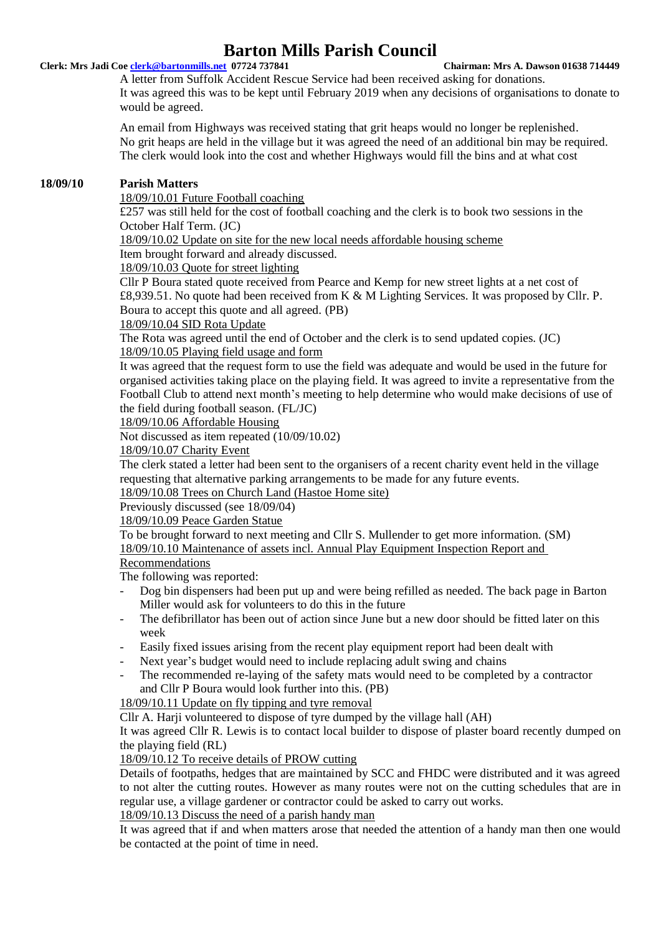### **Clerk: Mrs Jadi Coe clerk@bartonmills.net 07724 737841 Chairman: Mrs A. Dawson 01638 714449**

A letter from Suffolk Accident Rescue Service had been received asking for donations. It was agreed this was to be kept until February 2019 when any decisions of organisations to donate to would be agreed.

An email from Highways was received stating that grit heaps would no longer be replenished. No grit heaps are held in the village but it was agreed the need of an additional bin may be required. The clerk would look into the cost and whether Highways would fill the bins and at what cost

# **18/09/10 Parish Matters**

18/09/10.01 Future Football coaching

£257 was still held for the cost of football coaching and the clerk is to book two sessions in the October Half Term. (JC)

18/09/10.02 Update on site for the new local needs affordable housing scheme

Item brought forward and already discussed.

18/09/10.03 Quote for street lighting

Cllr P Boura stated quote received from Pearce and Kemp for new street lights at a net cost of £8,939.51. No quote had been received from K & M Lighting Services. It was proposed by Cllr. P. Boura to accept this quote and all agreed. (PB)

18/09/10.04 SID Rota Update

The Rota was agreed until the end of October and the clerk is to send updated copies. (JC)

# 18/09/10.05 Playing field usage and form

It was agreed that the request form to use the field was adequate and would be used in the future for organised activities taking place on the playing field. It was agreed to invite a representative from the Football Club to attend next month's meeting to help determine who would make decisions of use of the field during football season. (FL/JC)

18/09/10.06 Affordable Housing

Not discussed as item repeated (10/09/10.02)

18/09/10.07 Charity Event

The clerk stated a letter had been sent to the organisers of a recent charity event held in the village requesting that alternative parking arrangements to be made for any future events.

18/09/10.08 Trees on Church Land (Hastoe Home site)

Previously discussed (see 18/09/04)

18/09/10.09 Peace Garden Statue

To be brought forward to next meeting and Cllr S. Mullender to get more information. (SM) 18/09/10.10 Maintenance of assets incl. Annual Play Equipment Inspection Report and

Recommendations

The following was reported:

- Dog bin dispensers had been put up and were being refilled as needed. The back page in Barton Miller would ask for volunteers to do this in the future
- The defibrillator has been out of action since June but a new door should be fitted later on this week
- Easily fixed issues arising from the recent play equipment report had been dealt with
- Next year's budget would need to include replacing adult swing and chains
- The recommended re-laying of the safety mats would need to be completed by a contractor and Cllr P Boura would look further into this. (PB)

18/09/10.11 Update on fly tipping and tyre removal

Cllr A. Harji volunteered to dispose of tyre dumped by the village hall (AH)

It was agreed Cllr R. Lewis is to contact local builder to dispose of plaster board recently dumped on the playing field (RL)

18/09/10.12 To receive details of PROW cutting

Details of footpaths, hedges that are maintained by SCC and FHDC were distributed and it was agreed to not alter the cutting routes. However as many routes were not on the cutting schedules that are in regular use, a village gardener or contractor could be asked to carry out works.

18/09/10.13 Discuss the need of a parish handy man

It was agreed that if and when matters arose that needed the attention of a handy man then one would be contacted at the point of time in need.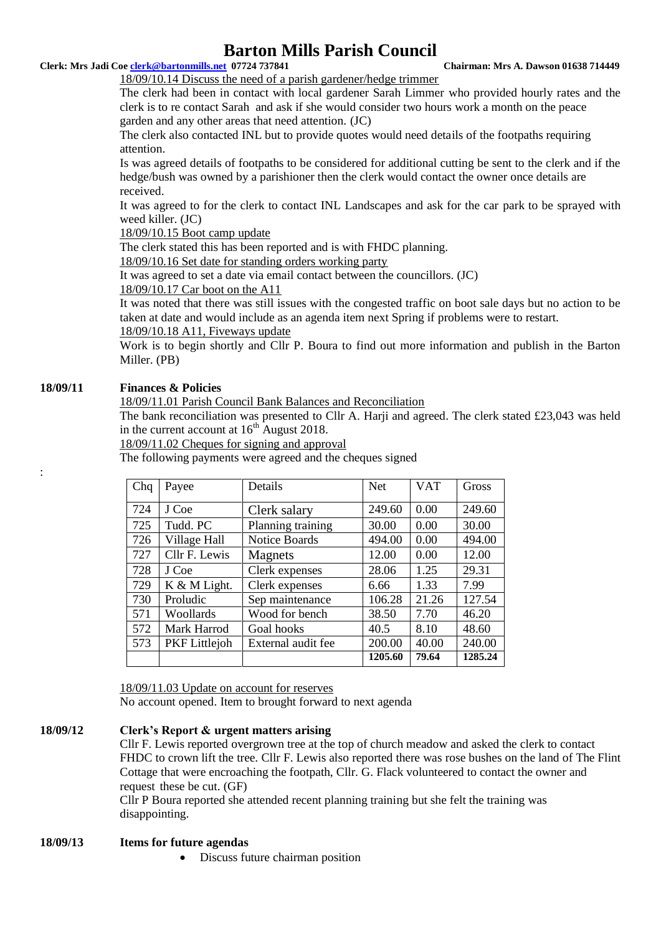# **Clerk: Mrs Jadi Coe clerk@bartonmills.net 07724 737841 Chairman: Mrs A. Dawson 01638 714449**

# 18/09/10.14 Discuss the need of a parish gardener/hedge trimmer

The clerk had been in contact with local gardener Sarah Limmer who provided hourly rates and the clerk is to re contact Sarah and ask if she would consider two hours work a month on the peace garden and any other areas that need attention. (JC)

The clerk also contacted INL but to provide quotes would need details of the footpaths requiring attention.

Is was agreed details of footpaths to be considered for additional cutting be sent to the clerk and if the hedge/bush was owned by a parishioner then the clerk would contact the owner once details are received.

It was agreed to for the clerk to contact INL Landscapes and ask for the car park to be sprayed with weed killer. (JC)

18/09/10.15 Boot camp update

The clerk stated this has been reported and is with FHDC planning.

18/09/10.16 Set date for standing orders working party

It was agreed to set a date via email contact between the councillors. (JC)

# 18/09/10.17 Car boot on the A11

It was noted that there was still issues with the congested traffic on boot sale days but no action to be taken at date and would include as an agenda item next Spring if problems were to restart. 18/09/10.18 A11, Fiveways update

Work is to begin shortly and Cllr P. Boura to find out more information and publish in the Barton Miller. (PB)

# **18/09/11 Finances & Policies**

:

# 18/09/11.01 Parish Council Bank Balances and Reconciliation

The bank reconciliation was presented to Cllr A. Harji and agreed. The clerk stated £23,043 was held in the current account at  $16<sup>th</sup>$  August 2018.

18/09/11.02 Cheques for signing and approval

The following payments were agreed and the cheques signed

| Chq | Payee                | Details            | <b>Net</b> | <b>VAT</b> | Gross   |
|-----|----------------------|--------------------|------------|------------|---------|
| 724 | J Coe                | Clerk salary       | 249.60     | 0.00       | 249.60  |
| 725 | Tudd. PC             | Planning training  | 30.00      | 0.00       | 30.00   |
| 726 | Village Hall         | Notice Boards      | 494.00     | 0.00       | 494.00  |
| 727 | Cllr F. Lewis        | Magnets            | 12.00      | 0.00       | 12.00   |
| 728 | J Coe                | Clerk expenses     | 28.06      | 1.25       | 29.31   |
| 729 | K & M Light.         | Clerk expenses     | 6.66       | 1.33       | 7.99    |
| 730 | Proludic             | Sep maintenance    | 106.28     | 21.26      | 127.54  |
| 571 | Woollards            | Wood for bench     | 38.50      | 7.70       | 46.20   |
| 572 | Mark Harrod          | Goal hooks         | 40.5       | 8.10       | 48.60   |
| 573 | <b>PKF</b> Littlejoh | External audit fee | 200.00     | 40.00      | 240.00  |
|     |                      |                    | 1205.60    | 79.64      | 1285.24 |

18/09/11.03 Update on account for reserves

No account opened. Item to brought forward to next agenda

# **18/09/12 Clerk's Report & urgent matters arising**

Cllr F. Lewis reported overgrown tree at the top of church meadow and asked the clerk to contact FHDC to crown lift the tree. Cllr F. Lewis also reported there was rose bushes on the land of The Flint Cottage that were encroaching the footpath, Cllr. G. Flack volunteered to contact the owner and request these be cut. (GF)

Cllr P Boura reported she attended recent planning training but she felt the training was disappointing.

### **18/09/13 Items for future agendas**

Discuss future chairman position